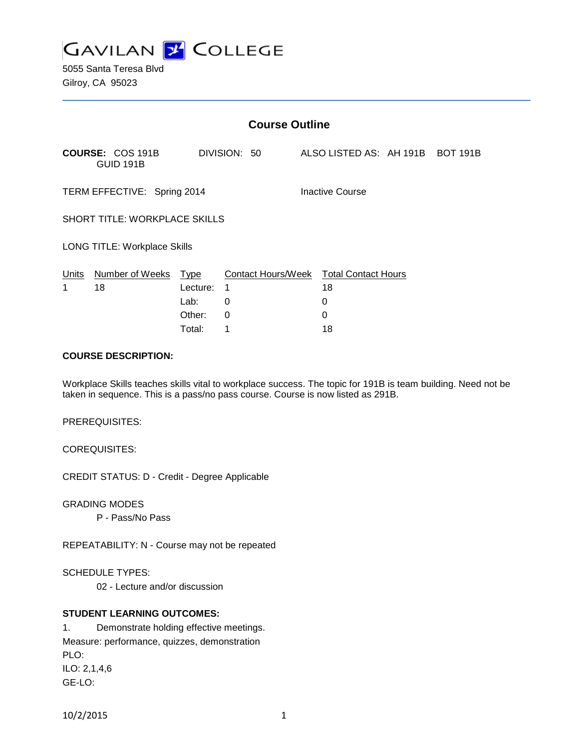

| <b>Course Outline</b>               |                                             |          |                                        |  |                                  |  |  |  |
|-------------------------------------|---------------------------------------------|----------|----------------------------------------|--|----------------------------------|--|--|--|
|                                     | <b>COURSE: COS 191B</b><br><b>GUID 191B</b> |          | DIVISION: 50                           |  | ALSO LISTED AS: AH 191B BOT 191B |  |  |  |
| TERM EFFECTIVE: Spring 2014         |                                             |          |                                        |  | Inactive Course                  |  |  |  |
| SHORT TITLE: WORKPLACE SKILLS       |                                             |          |                                        |  |                                  |  |  |  |
| <b>LONG TITLE: Workplace Skills</b> |                                             |          |                                        |  |                                  |  |  |  |
|                                     | Units Number of Weeks Type                  |          | Contact Hours/Week Total Contact Hours |  |                                  |  |  |  |
| 1                                   | 18                                          | Lecture: | 1                                      |  | 18                               |  |  |  |
|                                     |                                             | Lab:     | 0                                      |  | 0                                |  |  |  |
|                                     |                                             | Other:   | 0                                      |  | 0                                |  |  |  |
|                                     |                                             | Total:   | 1                                      |  | 18                               |  |  |  |

### **COURSE DESCRIPTION:**

Workplace Skills teaches skills vital to workplace success. The topic for 191B is team building. Need not be taken in sequence. This is a pass/no pass course. Course is now listed as 291B.

PREREQUISITES:

COREQUISITES:

CREDIT STATUS: D - Credit - Degree Applicable

GRADING MODES

P - Pass/No Pass

REPEATABILITY: N - Course may not be repeated

SCHEDULE TYPES:

02 - Lecture and/or discussion

# **STUDENT LEARNING OUTCOMES:**

1. Demonstrate holding effective meetings. Measure: performance, quizzes, demonstration PLO: ILO: 2,1,4,6 GE-LO:

10/2/2015 1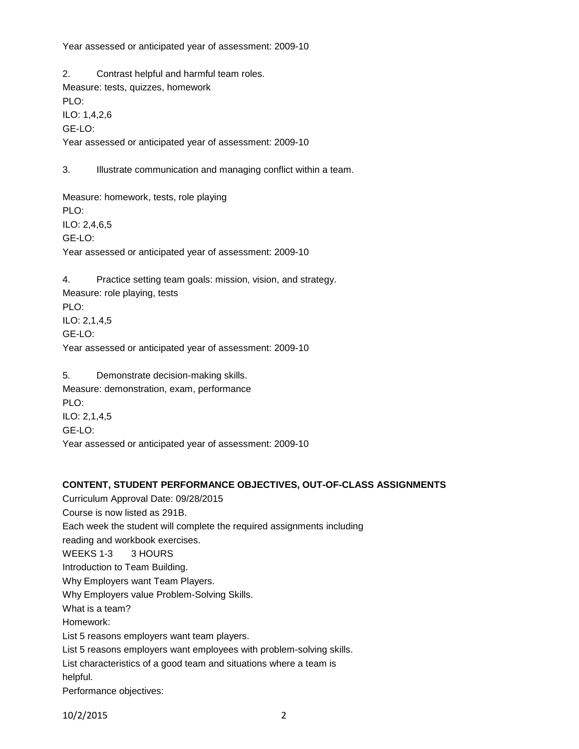Year assessed or anticipated year of assessment: 2009-10

2. Contrast helpful and harmful team roles. Measure: tests, quizzes, homework PLO: ILO: 1,4,2,6 GE-LO: Year assessed or anticipated year of assessment: 2009-10

3. Illustrate communication and managing conflict within a team.

Measure: homework, tests, role playing PLO: ILO: 2,4,6,5 GE-LO: Year assessed or anticipated year of assessment: 2009-10

4. Practice setting team goals: mission, vision, and strategy. Measure: role playing, tests PLO: ILO: 2,1,4,5 GE-LO: Year assessed or anticipated year of assessment: 2009-10

5. Demonstrate decision-making skills. Measure: demonstration, exam, performance PLO: ILO: 2,1,4,5 GE-LO: Year assessed or anticipated year of assessment: 2009-10

# **CONTENT, STUDENT PERFORMANCE OBJECTIVES, OUT-OF-CLASS ASSIGNMENTS**

Curriculum Approval Date: 09/28/2015 Course is now listed as 291B. Each week the student will complete the required assignments including reading and workbook exercises. WEEKS 1-3 3 HOURS Introduction to Team Building. Why Employers want Team Players. Why Employers value Problem-Solving Skills. What is a team? Homework: List 5 reasons employers want team players. List 5 reasons employers want employees with problem-solving skills. List characteristics of a good team and situations where a team is helpful. Performance objectives:

10/2/2015 2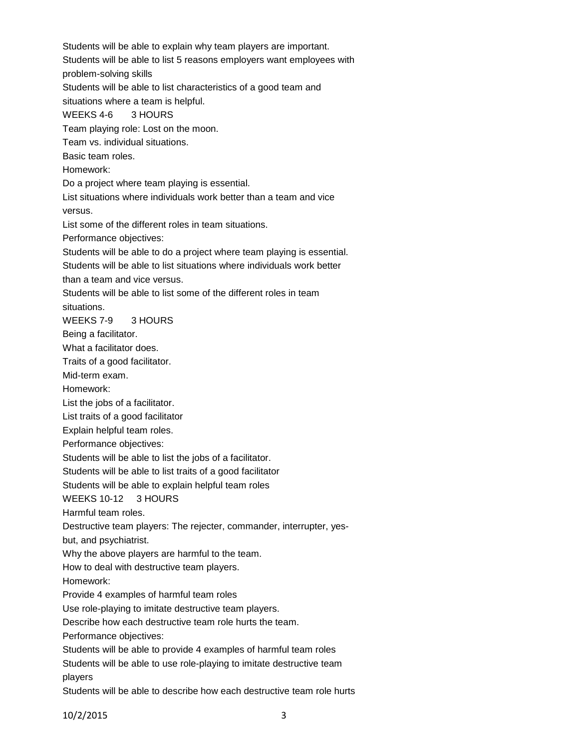Students will be able to explain why team players are important. Students will be able to list 5 reasons employers want employees with problem-solving skills Students will be able to list characteristics of a good team and situations where a team is helpful. WEEKS 4-6 3 HOURS Team playing role: Lost on the moon. Team vs. individual situations. Basic team roles. Homework: Do a project where team playing is essential. List situations where individuals work better than a team and vice versus. List some of the different roles in team situations. Performance objectives: Students will be able to do a project where team playing is essential. Students will be able to list situations where individuals work better than a team and vice versus. Students will be able to list some of the different roles in team situations. WEEKS 7-9 3 HOURS Being a facilitator. What a facilitator does. Traits of a good facilitator. Mid-term exam. Homework: List the jobs of a facilitator. List traits of a good facilitator Explain helpful team roles. Performance objectives: Students will be able to list the jobs of a facilitator. Students will be able to list traits of a good facilitator Students will be able to explain helpful team roles WEEKS 10-12 3 HOURS Harmful team roles. Destructive team players: The rejecter, commander, interrupter, yesbut, and psychiatrist. Why the above players are harmful to the team. How to deal with destructive team players. Homework: Provide 4 examples of harmful team roles Use role-playing to imitate destructive team players. Describe how each destructive team role hurts the team. Performance objectives: Students will be able to provide 4 examples of harmful team roles Students will be able to use role-playing to imitate destructive team players Students will be able to describe how each destructive team role hurts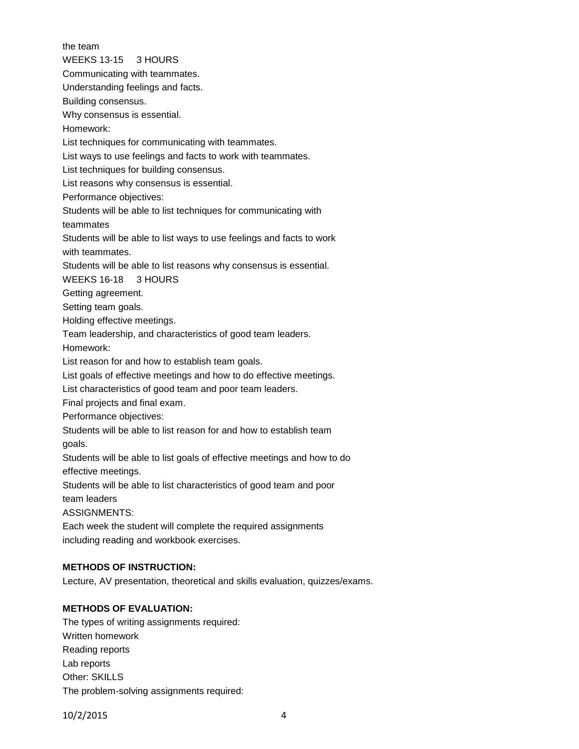the team WEEKS 13-15 3 HOURS Communicating with teammates. Understanding feelings and facts. Building consensus. Why consensus is essential. Homework: List techniques for communicating with teammates. List ways to use feelings and facts to work with teammates. List techniques for building consensus. List reasons why consensus is essential. Performance objectives: Students will be able to list techniques for communicating with teammates Students will be able to list ways to use feelings and facts to work with teammates. Students will be able to list reasons why consensus is essential. WEEKS 16-18 3 HOURS Getting agreement. Setting team goals. Holding effective meetings. Team leadership, and characteristics of good team leaders. Homework: List reason for and how to establish team goals. List goals of effective meetings and how to do effective meetings. List characteristics of good team and poor team leaders. Final projects and final exam. Performance objectives: Students will be able to list reason for and how to establish team goals. Students will be able to list goals of effective meetings and how to do effective meetings. Students will be able to list characteristics of good team and poor team leaders ASSIGNMENTS: Each week the student will complete the required assignments including reading and workbook exercises.

# **METHODS OF INSTRUCTION:**

Lecture, AV presentation, theoretical and skills evaluation, quizzes/exams.

# **METHODS OF EVALUATION:**

The types of writing assignments required: Written homework Reading reports Lab reports Other: SKILLS The problem-solving assignments required: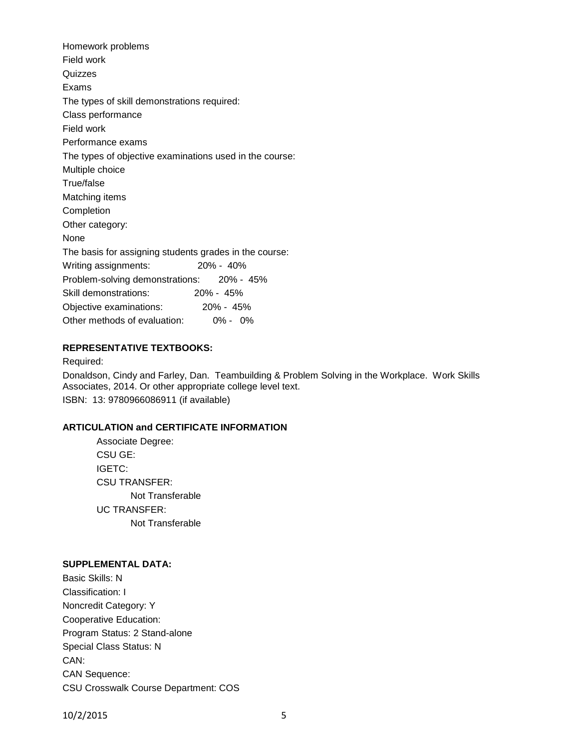Homework problems Field work Quizzes Exams The types of skill demonstrations required: Class performance Field work Performance exams The types of objective examinations used in the course: Multiple choice True/false Matching items Completion Other category: None The basis for assigning students grades in the course: Writing assignments: 20% - 40% Problem-solving demonstrations: 20% - 45% Skill demonstrations: 20% - 45% Objective examinations: 20% - 45% Other methods of evaluation: 0% - 0%

## **REPRESENTATIVE TEXTBOOKS:**

Required:

Donaldson, Cindy and Farley, Dan. Teambuilding & Problem Solving in the Workplace. Work Skills Associates, 2014. Or other appropriate college level text. ISBN: 13: 9780966086911 (if available)

## **ARTICULATION and CERTIFICATE INFORMATION**

Associate Degree: CSU GE: IGETC: CSU TRANSFER: Not Transferable UC TRANSFER: Not Transferable

### **SUPPLEMENTAL DATA:**

Basic Skills: N Classification: I Noncredit Category: Y Cooperative Education: Program Status: 2 Stand-alone Special Class Status: N CAN: CAN Sequence: CSU Crosswalk Course Department: COS